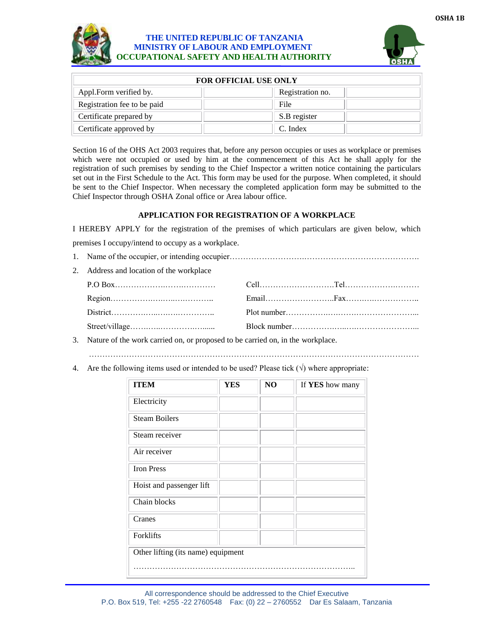

## **THE UNITED REPUBLIC OF TANZANIA MINISTRY OF LABOUR AND EMPLOYMENT OCCUPATIONAL SAFETY AND HEALTH AUTHORITY**



| <b>FOR OFFICIAL USE ONLY</b> |                  |  |  |  |
|------------------------------|------------------|--|--|--|
| Appl.Form verified by.       | Registration no. |  |  |  |
| Registration fee to be paid  | File             |  |  |  |
| Certificate prepared by      | S.B register     |  |  |  |
| Certificate approved by      | C. Index         |  |  |  |

Section 16 of the OHS Act 2003 requires that, before any person occupies or uses as workplace or premises which were not occupied or used by him at the commencement of this Act he shall apply for the registration of such premises by sending to the Chief Inspector a written notice containing the particulars set out in the First Schedule to the Act. This form may be used for the purpose. When completed, it should be sent to the Chief Inspector. When necessary the completed application form may be submitted to the Chief Inspector through OSHA Zonal office or Area labour office.

## **APPLICATION FOR REGISTRATION OF A WORKPLACE**

I HEREBY APPLY for the registration of the premises of which particulars are given below, which premises I occupy/intend to occupy as a workplace.

| 2. Address and location of the workplace |  |
|------------------------------------------|--|
|                                          |  |
|                                          |  |
|                                          |  |
|                                          |  |
|                                          |  |

3. Nature of the work carried on, or proposed to be carried on, in the workplace.

……………………………………………………………………………………………………………

4. Are the following items used or intended to be used? Please tick  $(\sqrt{})$  where appropriate:

| <b>ITEM</b>                        | <b>YES</b> | NO | If YES how many |
|------------------------------------|------------|----|-----------------|
| Electricity                        |            |    |                 |
| <b>Steam Boilers</b>               |            |    |                 |
| Steam receiver                     |            |    |                 |
| Air receiver                       |            |    |                 |
| <b>Iron Press</b>                  |            |    |                 |
| Hoist and passenger lift           |            |    |                 |
| Chain blocks                       |            |    |                 |
| Cranes                             |            |    |                 |
| Forklifts                          |            |    |                 |
| Other lifting (its name) equipment |            |    |                 |
|                                    |            |    |                 |